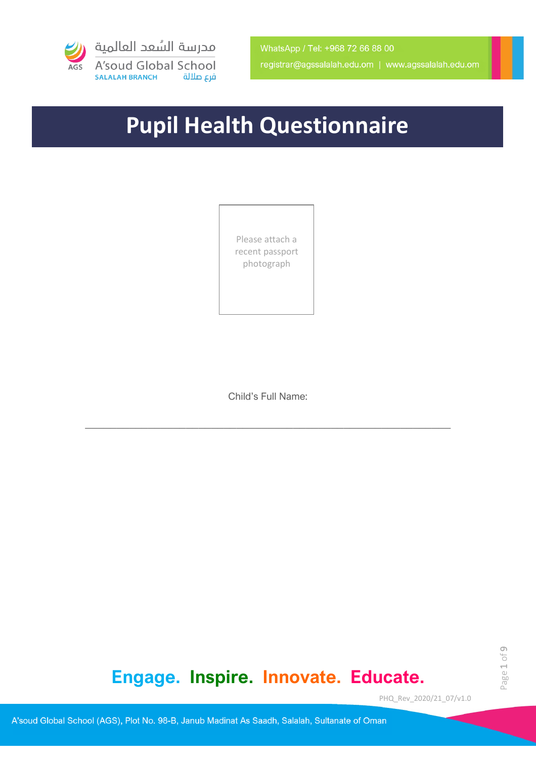

# **Pupil Health Questionnaire**

Please attach a recent passport photograph

Child's Full Name:

\_\_\_\_\_\_\_\_\_\_\_\_\_\_\_\_\_\_\_\_\_\_\_\_\_\_\_\_\_\_\_\_\_\_\_\_\_\_\_\_\_\_\_\_\_\_\_\_\_\_\_\_\_\_\_\_\_\_

## **Engage. Inspire. Innovate. Educate.**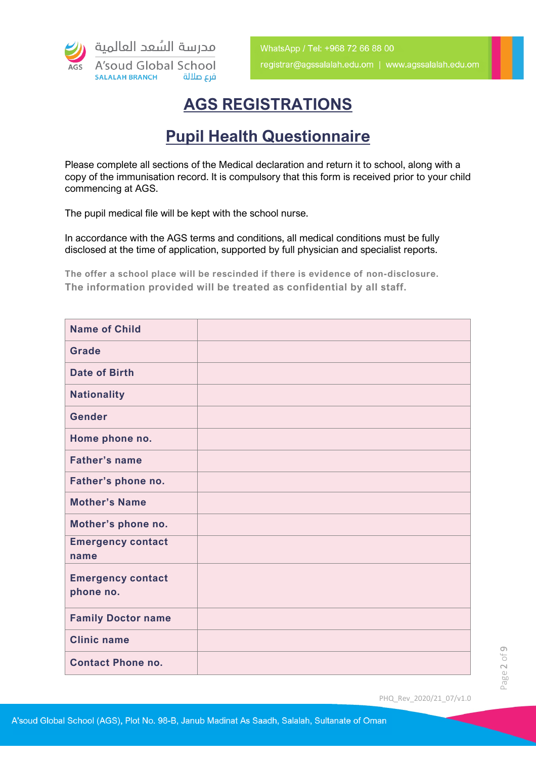

### **AGS REGISTRATIONS**

### **Pupil Health Questionnaire**

Please complete all sections of the Medical declaration and return it to school, along with a copy of the immunisation record. It is compulsory that this form is received prior to your child commencing at AGS.

The pupil medical file will be kept with the school nurse.

In accordance with the AGS terms and conditions, all medical conditions must be fully disclosed at the time of application, supported by full physician and specialist reports.

**The offer a school place will be rescinded if there is evidence of non-disclosure. The information provided will be treated as confidential by all staff.** 

| <b>Name of Child</b>                  |  |
|---------------------------------------|--|
| <b>Grade</b>                          |  |
| <b>Date of Birth</b>                  |  |
| <b>Nationality</b>                    |  |
| Gender                                |  |
| Home phone no.                        |  |
| <b>Father's name</b>                  |  |
| Father's phone no.                    |  |
| <b>Mother's Name</b>                  |  |
| Mother's phone no.                    |  |
| <b>Emergency contact</b><br>name      |  |
| <b>Emergency contact</b><br>phone no. |  |
| <b>Family Doctor name</b>             |  |
| <b>Clinic name</b>                    |  |
| <b>Contact Phone no.</b>              |  |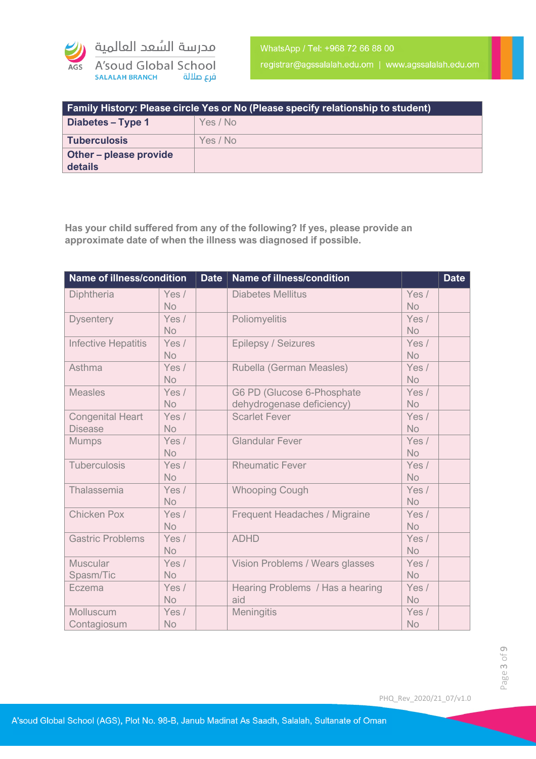

registrar@agssalalah.edu.om | www.agssalalah.edu.om

| <b>Family History: Please circle Yes or No (Please specify relationship to student)</b> |          |  |
|-----------------------------------------------------------------------------------------|----------|--|
| Diabetes – Type 1                                                                       | Yes / No |  |
| Tuberculosis                                                                            | Yes / No |  |
| <b>Other-please provide</b><br>details                                                  |          |  |

**Has your child suffered from any of the following? If yes, please provide an approximate date of when the illness was diagnosed if possible.** 

| Name of illness/condition                 |                      | <b>Date</b> | <b>Name of illness/condition</b>                        |                    | <b>Date</b> |
|-------------------------------------------|----------------------|-------------|---------------------------------------------------------|--------------------|-------------|
| Diphtheria                                | Yes /<br><b>No</b>   |             | <b>Diabetes Mellitus</b>                                | Yes /<br><b>No</b> |             |
| <b>Dysentery</b>                          | Yes /<br><b>No</b>   |             | Poliomyelitis                                           | Yes /<br><b>No</b> |             |
| <b>Infective Hepatitis</b>                | Yes /<br><b>No</b>   |             | Epilepsy / Seizures                                     | Yes /<br><b>No</b> |             |
| Asthma                                    | Yes /<br><b>No</b>   |             | Rubella (German Measles)                                | Yes /<br><b>No</b> |             |
| <b>Measles</b>                            | Yes /<br><b>No</b>   |             | G6 PD (Glucose 6-Phosphate<br>dehydrogenase deficiency) | Yes /<br><b>No</b> |             |
| <b>Congenital Heart</b><br><b>Disease</b> | Yes /<br><b>No</b>   |             | <b>Scarlet Fever</b>                                    | Yes /<br><b>No</b> |             |
| <b>Mumps</b>                              | Yes /<br><b>No</b>   |             | <b>Glandular Fever</b>                                  | Yes /<br><b>No</b> |             |
| <b>Tuberculosis</b>                       | Yes /<br><b>No</b>   |             | <b>Rheumatic Fever</b>                                  | Yes /<br><b>No</b> |             |
| Thalassemia                               | Yes /<br><b>No</b>   |             | <b>Whooping Cough</b>                                   | Yes /<br><b>No</b> |             |
| <b>Chicken Pox</b>                        | Yes /<br><b>No</b>   |             | Frequent Headaches / Migraine                           | Yes /<br><b>No</b> |             |
| <b>Gastric Problems</b>                   | Yes $/$<br><b>No</b> |             | <b>ADHD</b>                                             | Yes /<br><b>No</b> |             |
| <b>Muscular</b><br>Spasm/Tic              | Yes /<br><b>No</b>   |             | Vision Problems / Wears glasses                         | Yes /<br><b>No</b> |             |
| Eczema                                    | Yes /<br><b>No</b>   |             | Hearing Problems / Has a hearing<br>aid                 | Yes /<br><b>No</b> |             |
| Molluscum<br>Contagiosum                  | Yes /<br><b>No</b>   |             | <b>Meningitis</b>                                       | Yes /<br><b>No</b> |             |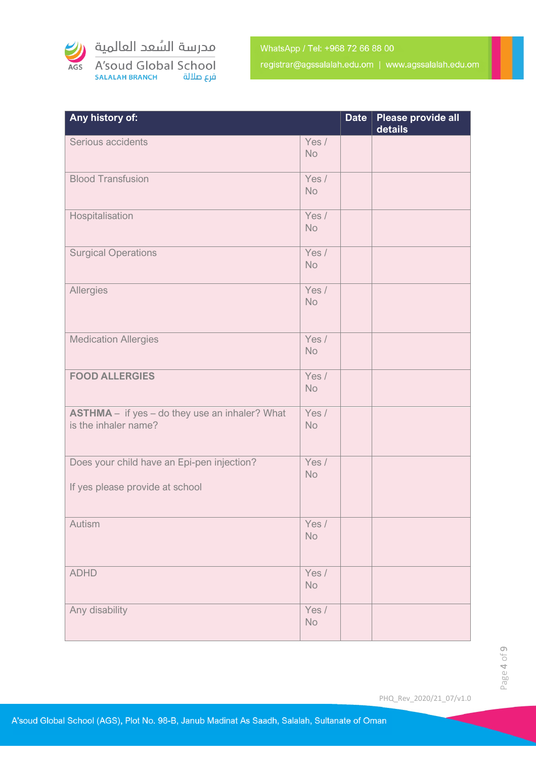

| Any history of:                                                               |                    | <b>Date</b> | Please provide all<br>details |
|-------------------------------------------------------------------------------|--------------------|-------------|-------------------------------|
| Serious accidents                                                             | Yes /<br><b>No</b> |             |                               |
| <b>Blood Transfusion</b>                                                      | Yes /<br><b>No</b> |             |                               |
| Hospitalisation                                                               | Yes /<br><b>No</b> |             |                               |
| <b>Surgical Operations</b>                                                    | Yes /<br><b>No</b> |             |                               |
| Allergies                                                                     | Yes /<br><b>No</b> |             |                               |
| <b>Medication Allergies</b>                                                   | Yes /<br><b>No</b> |             |                               |
| <b>FOOD ALLERGIES</b>                                                         | Yes /<br><b>No</b> |             |                               |
| <b>ASTHMA</b> - if yes - do they use an inhaler? What<br>is the inhaler name? | Yes /<br><b>No</b> |             |                               |
| Does your child have an Epi-pen injection?<br>If yes please provide at school | Yes /<br><b>No</b> |             |                               |
| Autism                                                                        | Yes /<br>No        |             |                               |
| <b>ADHD</b>                                                                   | Yes /<br>No        |             |                               |
| Any disability                                                                | Yes /<br>No        |             |                               |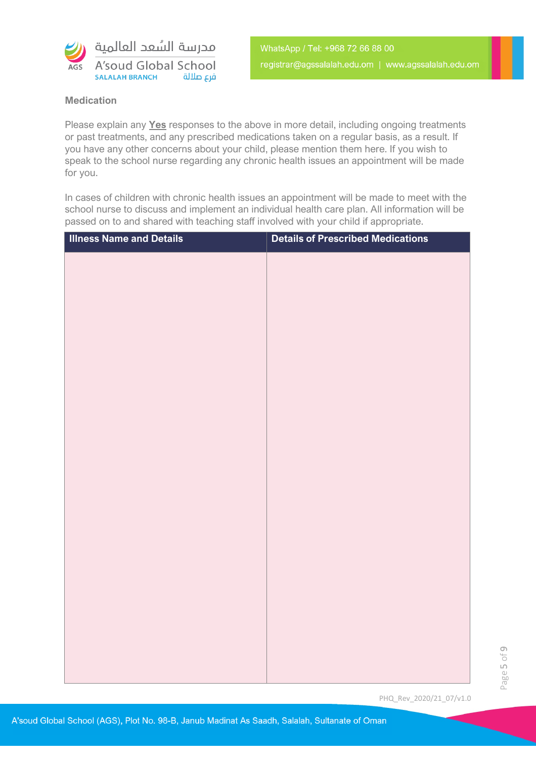

#### **Medication**

Please explain any **Yes** responses to the above in more detail, including ongoing treatments or past treatments, and any prescribed medications taken on a regular basis, as a result. If you have any other concerns about your child, please mention them here. If you wish to speak to the school nurse regarding any chronic health issues an appointment will be made for you.

In cases of children with chronic health issues an appointment will be made to meet with the school nurse to discuss and implement an individual health care plan. All information will be passed on to and shared with teaching staff involved with your child if appropriate.

| <b>Illness Name and Details</b> | <b>Details of Prescribed Medications</b> |
|---------------------------------|------------------------------------------|
|                                 |                                          |
|                                 |                                          |
|                                 |                                          |
|                                 |                                          |
|                                 |                                          |
|                                 |                                          |
|                                 |                                          |
|                                 |                                          |
|                                 |                                          |
|                                 |                                          |
|                                 |                                          |
|                                 |                                          |
|                                 |                                          |
|                                 |                                          |
|                                 |                                          |
|                                 |                                          |
|                                 |                                          |
|                                 |                                          |
|                                 |                                          |
|                                 |                                          |
|                                 |                                          |
|                                 |                                          |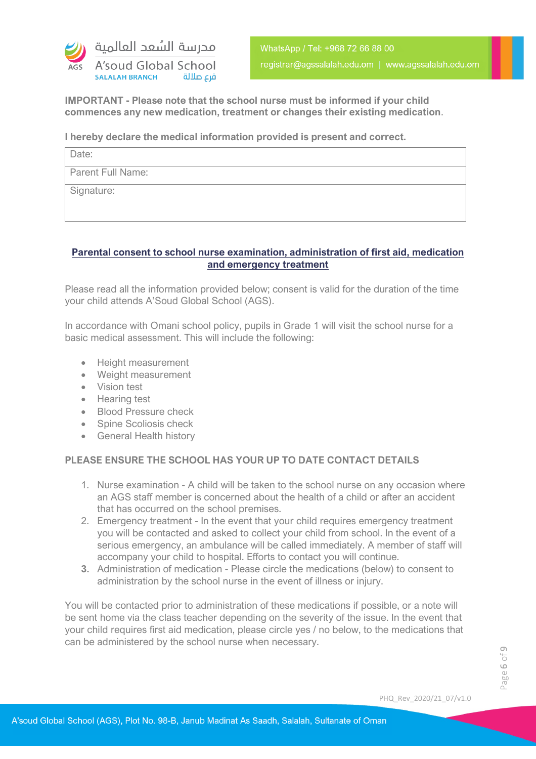

**IMPORTANT - Please note that the school nurse must be informed if your child commences any new medication, treatment or changes their existing medication**.

#### **I hereby declare the medical information provided is present and correct.**

| Date:                    |
|--------------------------|
| <b>Parent Full Name:</b> |
| Signature:               |
|                          |

#### **Parental consent to school nurse examination, administration of first aid, medication and emergency treatment**

Please read all the information provided below; consent is valid for the duration of the time your child attends A'Soud Global School (AGS).

In accordance with Omani school policy, pupils in Grade 1 will visit the school nurse for a basic medical assessment. This will include the following:

- Height measurement
- Weight measurement
- Vision test
- Hearing test
- Blood Pressure check
- Spine Scoliosis check
- General Health history

#### **PLEASE ENSURE THE SCHOOL HAS YOUR UP TO DATE CONTACT DETAILS**

- 1. Nurse examination A child will be taken to the school nurse on any occasion where an AGS staff member is concerned about the health of a child or after an accident that has occurred on the school premises.
- 2. Emergency treatment In the event that your child requires emergency treatment you will be contacted and asked to collect your child from school. In the event of a serious emergency, an ambulance will be called immediately. A member of staff will accompany your child to hospital. Efforts to contact you will continue.
- **3.** Administration of medication Please circle the medications (below) to consent to administration by the school nurse in the event of illness or injury.

You will be contacted prior to administration of these medications if possible, or a note will be sent home via the class teacher depending on the severity of the issue. In the event that your child requires first aid medication, please circle yes / no below, to the medications that can be administered by the school nurse when necessary.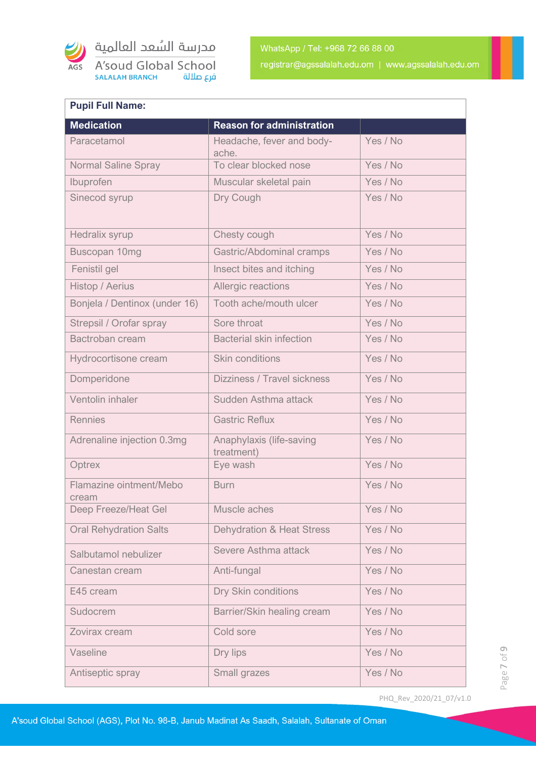

مدرسة السُعد العالمية

A'soud Global School **SALALAH BRANCH** فرع صلالة

| <b>Pupil Full Name:</b>          |                                        |          |
|----------------------------------|----------------------------------------|----------|
| <b>Medication</b>                | <b>Reason for administration</b>       |          |
| Paracetamol                      | Headache, fever and body-<br>ache.     | Yes / No |
| <b>Normal Saline Spray</b>       | To clear blocked nose                  | Yes / No |
| Ibuprofen                        | Muscular skeletal pain                 | Yes / No |
| Sinecod syrup                    | Dry Cough                              | Yes / No |
| Hedralix syrup                   | Chesty cough                           | Yes / No |
| Buscopan 10mg                    | Gastric/Abdominal cramps               | Yes / No |
| Fenistil gel                     | Insect bites and itching               | Yes / No |
| Histop / Aerius                  | Allergic reactions                     | Yes / No |
| Bonjela / Dentinox (under 16)    | Tooth ache/mouth ulcer                 | Yes / No |
| Strepsil / Orofar spray          | Sore throat                            | Yes / No |
| Bactroban cream                  | <b>Bacterial skin infection</b>        | Yes / No |
| Hydrocortisone cream             | <b>Skin conditions</b>                 | Yes / No |
| Domperidone                      | Dizziness / Travel sickness            | Yes / No |
| Ventolin inhaler                 | Sudden Asthma attack                   | Yes / No |
| <b>Rennies</b>                   | <b>Gastric Reflux</b>                  | Yes / No |
| Adrenaline injection 0.3mg       | Anaphylaxis (life-saving<br>treatment) | Yes / No |
| Optrex                           | Eye wash                               | Yes / No |
| Flamazine ointment/Mebo<br>cream | <b>Burn</b>                            | Yes / No |
| Deep Freeze/Heat Gel             | Muscle aches                           | Yes / No |
| <b>Oral Rehydration Salts</b>    | <b>Dehydration &amp; Heat Stress</b>   | Yes / No |
| Salbutamol nebulizer             | Severe Asthma attack                   | Yes / No |
| Canestan cream                   | Anti-fungal                            | Yes / No |
| E45 cream                        | Dry Skin conditions                    | Yes / No |
| Sudocrem                         | Barrier/Skin healing cream             | Yes / No |
| Zovirax cream                    | Cold sore                              | Yes / No |
| Vaseline                         | Dry lips                               | Yes / No |
| Antiseptic spray                 | Small grazes                           | Yes / No |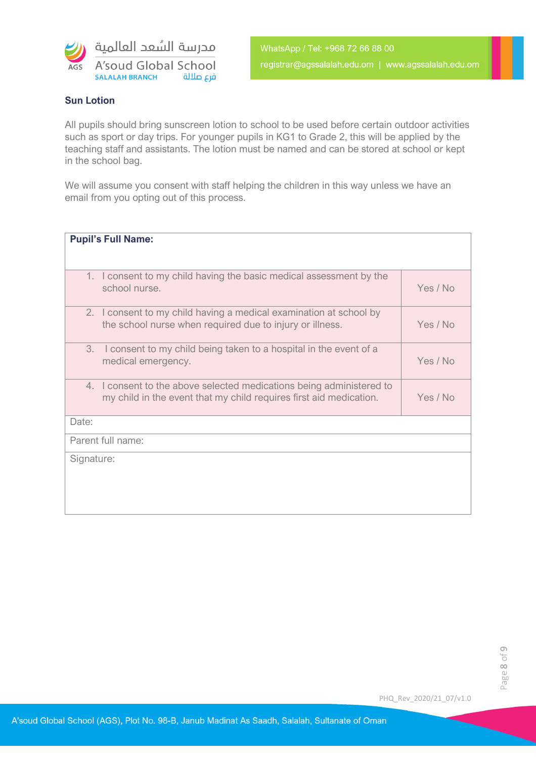

#### **Sun Lotion**

All pupils should bring sunscreen lotion to school to be used before certain outdoor activities such as sport or day trips. For younger pupils in KG1 to Grade 2, this will be applied by the teaching staff and assistants. The lotion must be named and can be stored at school or kept in the school bag.

We will assume you consent with staff helping the children in this way unless we have an email from you opting out of this process.

| <b>Pupil's Full Name:</b>                                                                                                                  |          |
|--------------------------------------------------------------------------------------------------------------------------------------------|----------|
|                                                                                                                                            |          |
| 1. I consent to my child having the basic medical assessment by the<br>school nurse.                                                       | Yes / No |
| 2. I consent to my child having a medical examination at school by<br>the school nurse when required due to injury or illness.             | Yes / No |
| 3.<br>I consent to my child being taken to a hospital in the event of a<br>medical emergency.                                              | Yes / No |
| 4. I consent to the above selected medications being administered to<br>my child in the event that my child requires first aid medication. | Yes / No |
| Date:                                                                                                                                      |          |
| Parent full name:                                                                                                                          |          |
| Signature:                                                                                                                                 |          |